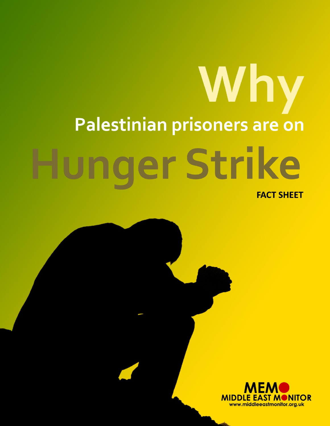## Why Palestinian prisoners are on nger Strike **FACT SHEET**

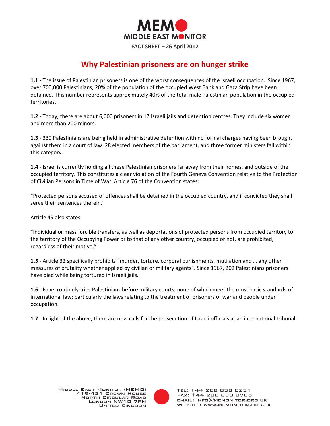

## **Why Palestinian prisoners are on hunger strike**

**1.1 -** The issue of Palestinian prisoners is one of the worst consequences of the Israeli occupation. Since 1967, over 700,000 Palestinians, 20% of the population of the occupied West Bank and Gaza Strip have been detained. This number represents approximately 40% of the total male Palestinian population in the occupied territories.

**1.2** - Today, there are about 6,000 prisoners in 17 Israeli jails and detention centres. They include six women and more than 200 minors.

**1.3** - 330 Palestinians are being held in administrative detention with no formal charges having been brought against them in a court of law. 28 elected members of the parliament, and three former ministers fall within this category.

**1.4** - Israel is currently holding all these Palestinian prisoners far away from their homes, and outside of the occupied territory. This constitutes a clear violation of the Fourth Geneva Convention relative to the Protection of Civilian Persons in Time of War. Article 76 of the Convention states:

"Protected persons accused of offences shall be detained in the occupied country, and if convicted they shall serve their sentences therein."

Article 49 also states:

"Individual or mass forcible transfers, as well as deportations of protected persons from occupied territory to the territory of the Occupying Power or to that of any other country, occupied or not, are prohibited, regardless of their motive."

**1.5** - Article 32 specifically prohibits "murder, torture, corporal punishments, mutilation and … any other measures of brutality whether applied by civilian or military agents". Since 1967, 202 Palestinians prisoners have died while being tortured in Israeli jails.

**1.6** - Israel routinely tries Palestinians before military courts, none of which meet the most basic standards of international law; particularly the laws relating to the treatment of prisoners of war and people under occupation.

**1.7** - In light of the above, there are now calls for the prosecution of Israeli officials at an international tribunal.



TEL: +44 208 838 0231 FAX: +44 208 838 0705  $EMAIL: INFO@MEMONITOR.BRS.UK$ WEBSITE: WWW.MEMONITOR.ORG.UK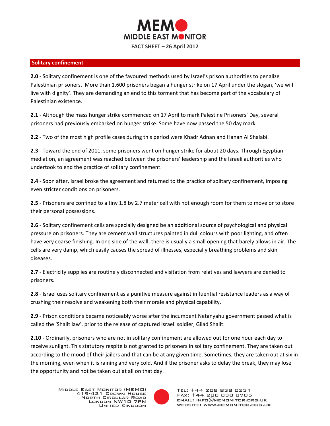

## **Solitary confinement**

**2.0** - Solitary confinement is one of the favoured methods used by Israel's prison authorities to penalize Palestinian prisoners. More than 1,600 prisoners began a hunger strike on 17 April under the slogan, 'we will live with dignity'. They are demanding an end to this torment that has become part of the vocabulary of Palestinian existence.

**2.1** - Although the mass hunger strike commenced on 17 April to mark Palestine Prisoners' Day, several prisoners had previously embarked on hunger strike. Some have now passed the 50 day mark.

**2.2** - Two of the most high profile cases during this period were Khadr Adnan and Hanan Al Shalabi.

**2.3** - Toward the end of 2011, some prisoners went on hunger strike for about 20 days. Through Egyptian mediation, an agreement was reached between the prisoners' leadership and the Israeli authorities who undertook to end the practice of solitary confinement.

**2.4** - Soon after, Israel broke the agreement and returned to the practice of solitary confinement, imposing even stricter conditions on prisoners.

**2.5** - Prisoners are confined to a tiny 1.8 by 2.7 meter cell with not enough room for them to move or to store their personal possessions.

**2.6** - Solitary confinement cells are specially designed be an additional source of psychological and physical pressure on prisoners. They are cement wall structures painted in dull colours with poor lighting, and often have very coarse finishing. In one side of the wall, there is usually a small opening that barely allows in air. The cells are very damp, which easily causes the spread of illnesses, especially breathing problems and skin diseases.

**2.7** - Electricity supplies are routinely disconnected and visitation from relatives and lawyers are denied to prisoners.

**2.8** - Israel uses solitary confinement as a punitive measure against influential resistance leaders as a way of crushing their resolve and weakening both their morale and physical capability.

**2.9** - Prison conditions became noticeably worse after the incumbent Netanyahu government passed what is called the 'Shalit law', prior to the release of captured Israeli soldier, Gilad Shalit.

**2.10** - Ordinarily, prisoners who are not in solitary confinement are allowed out for one hour each day to receive sunlight. This statutory respite is not granted to prisoners in solitary confinement. They are taken out according to the mood of their jailers and that can be at any given time. Sometimes, they are taken out at six in the morning, even when it is raining and very cold. And if the prisoner asks to delay the break, they may lose the opportunity and not be taken out at all on that day.



TEL: +44 208 838 0231 FAX: +44 208 838 0705  $EMAIL: INFO@MEMONITOR.BRE.UK$ WEBSITE: WWW.MEMONITOR.ORG.UK